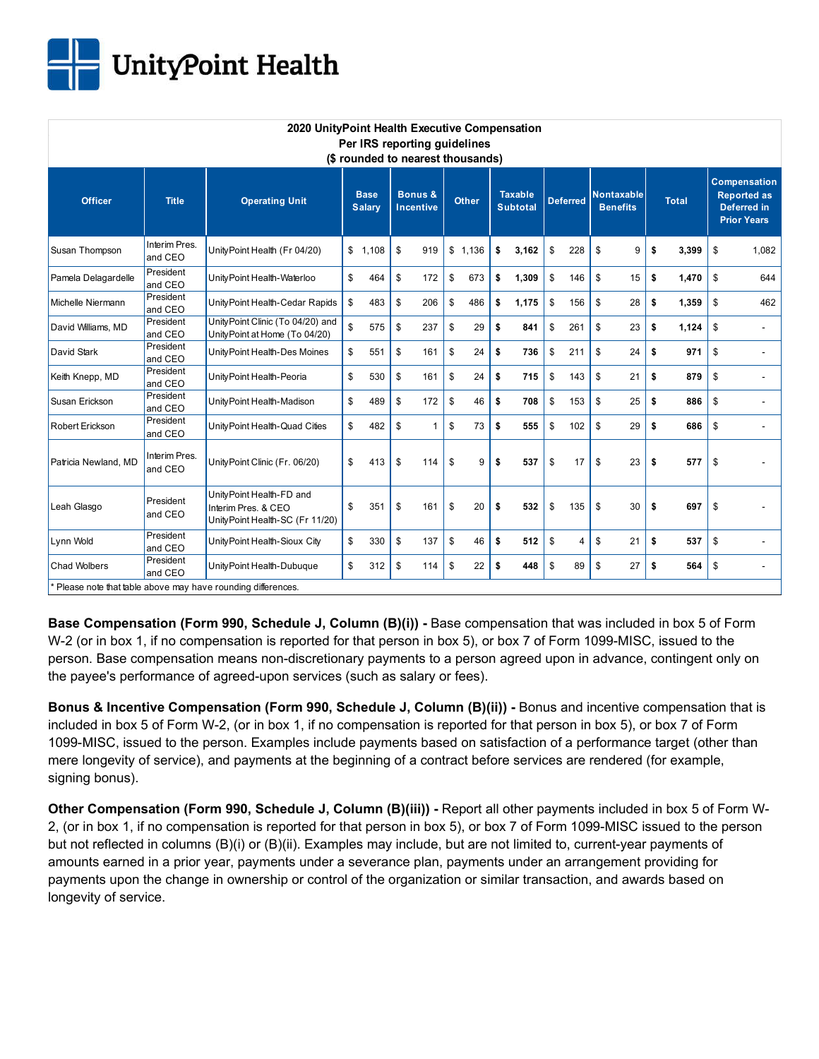

| 2020 UnityPoint Health Executive Compensation<br>Per IRS reporting guidelines |                          |                                                                                    |                              |         |                                        |     |              |       |                                   |       |                 |     |                                      |    |              |       |                                                                                |       |
|-------------------------------------------------------------------------------|--------------------------|------------------------------------------------------------------------------------|------------------------------|---------|----------------------------------------|-----|--------------|-------|-----------------------------------|-------|-----------------|-----|--------------------------------------|----|--------------|-------|--------------------------------------------------------------------------------|-------|
| (\$ rounded to nearest thousands)                                             |                          |                                                                                    |                              |         |                                        |     |              |       |                                   |       |                 |     |                                      |    |              |       |                                                                                |       |
| <b>Officer</b>                                                                | <b>Title</b>             | <b>Operating Unit</b>                                                              | <b>Base</b><br><b>Salary</b> |         | <b>Bonus &amp;</b><br><b>Incentive</b> |     | <b>Other</b> |       | <b>Taxable</b><br><b>Subtotal</b> |       | <b>Deferred</b> |     | <b>Nontaxable</b><br><b>Benefits</b> |    | <b>Total</b> |       | <b>Compensation</b><br><b>Reported as</b><br>Deferred in<br><b>Prior Years</b> |       |
| Susan Thompson                                                                | Interim Pres.<br>and CEO | UnityPoint Health (Fr 04/20)                                                       |                              | \$1,108 | \$                                     | 919 | \$           | 1,136 | \$                                | 3,162 | \$              | 228 | \$                                   | 9  | \$           | 3,399 | \$                                                                             | 1,082 |
| Pamela Delagardelle                                                           | President<br>and CEO     | UnityPoint Health-Waterloo                                                         | \$                           | 464     | \$                                     | 172 | \$           | 673   | \$                                | 1,309 | \$              | 146 | \$                                   | 15 | \$           | 1,470 | \$                                                                             | 644   |
| Michelle Niermann                                                             | President<br>and CEO     | UnityPoint Health-Cedar Rapids                                                     | \$                           | 483     | \$                                     | 206 | \$           | 486   | \$                                | 1,175 | \$              | 156 | \$                                   | 28 | \$           | 1,359 | \$                                                                             | 462   |
| David Williams, MD                                                            | President<br>and CEO     | UnityPoint Clinic (To 04/20) and<br>UnityPoint at Home (To 04/20)                  | \$                           | 575     | \$                                     | 237 | \$           | 29    | \$                                | 841   | \$              | 261 | \$                                   | 23 | \$           | 1,124 | \$                                                                             |       |
| David Stark                                                                   | President<br>and CEO     | Unity Point Health-Des Moines                                                      | \$                           | 551     | \$                                     | 161 | \$           | 24    | \$                                | 736   | \$              | 211 | \$                                   | 24 | \$           | 971   | \$                                                                             | ÷     |
| Keith Knepp, MD                                                               | President<br>and CEO     | UnityPoint Health-Peoria                                                           | \$                           | 530     | \$                                     | 161 | \$           | 24    | \$                                | 715   | \$              | 143 | \$                                   | 21 | \$           | 879   | \$                                                                             |       |
| Susan Erickson                                                                | President<br>and CEO     | UnityPoint Health-Madison                                                          | \$                           | 489     | \$                                     | 172 | \$           | 46    | \$                                | 708   | \$              | 153 | \$                                   | 25 | \$           | 886   | \$                                                                             |       |
| Robert Erickson                                                               | President<br>and CEO     | UnityPoint Health-Quad Cities                                                      | \$                           | 482     | \$                                     | 1   | \$           | 73    | \$                                | 555   | \$              | 102 | \$                                   | 29 | \$           | 686   | \$                                                                             |       |
| Patricia Newland, MD                                                          | Interim Pres.<br>and CEO | UnityPoint Clinic (Fr. 06/20)                                                      | \$                           | 413     | \$                                     | 114 | \$           | 9     | \$                                | 537   | \$              | 17  | \$                                   | 23 | \$           | 577   | \$                                                                             |       |
| Leah Glasgo                                                                   | President<br>and CEO     | UnityPoint Health-FD and<br>Interim Pres, & CEO<br>UnityPoint Health-SC (Fr 11/20) | \$                           | 351     | \$                                     | 161 | \$           | 20    | \$                                | 532   | \$              | 135 | \$                                   | 30 | \$           | 697   | \$                                                                             |       |
| Lynn Wold                                                                     | President<br>and CEO     | Unity Point Health-Sioux City                                                      | \$                           | 330     | \$                                     | 137 | \$           | 46    | \$                                | 512   | \$              | 4   | \$                                   | 21 | \$           | 537   | \$                                                                             |       |
| <b>Chad Wolbers</b>                                                           | President<br>and CEO     | Unity Point Health-Dubuque                                                         | \$                           | 312     | \$                                     | 114 | \$           | 22    | \$                                | 448   | \$              | 89  | \$                                   | 27 | \$           | 564   | \$                                                                             |       |
|                                                                               |                          | * Please note that table above may have rounding differences.                      |                              |         |                                        |     |              |       |                                   |       |                 |     |                                      |    |              |       |                                                                                |       |

**Base Compensation (Form 990, Schedule J, Column (B)(i)) -** Base compensation that was included in box 5 of Form W-2 (or in box 1, if no compensation is reported for that person in box 5), or box 7 of Form 1099-MISC, issued to the

person. Base compensation means non-discretionary payments to a person agreed upon in advance, contingent only on the payee's performance of agreed-upon services (such as salary or fees).

**Bonus & Incentive Compensation (Form 990, Schedule J, Column (B)(ii)) -** Bonus and incentive compensation that is included in box 5 of Form W-2, (or in box 1, if no compensation is reported for that person in box 5), or box 7 of Form 1099-MISC, issued to the person. Examples include payments based on satisfaction of a performance target (other than mere longevity of service), and payments at the beginning of a contract before services are rendered (for example, signing bonus).

**Other Compensation (Form 990, Schedule J, Column (B)(iii)) -** Report all other payments included in box 5 of Form W-2, (or in box 1, if no compensation is reported for that person in box 5), or box 7 of Form 1099-MISC issued to the person but not reflected in columns (B)(i) or (B)(ii). Examples may include, but are not limited to, current-year payments of amounts earned in a prior year, payments under a severance plan, payments under an arrangement providing for payments upon the change in ownership or control of the organization or similar transaction, and awards based on longevity of service.